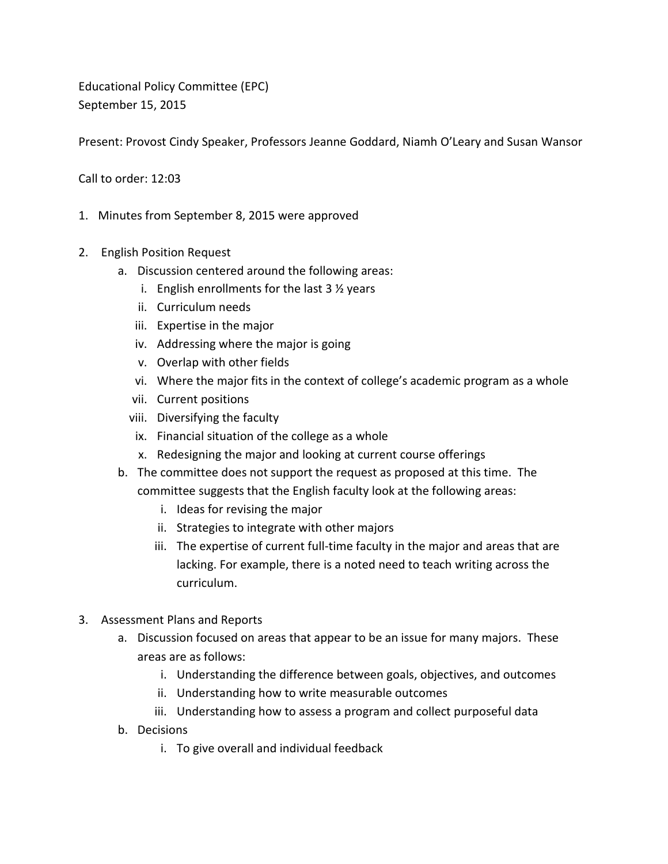Educational Policy Committee (EPC) September 15, 2015

Present: Provost Cindy Speaker, Professors Jeanne Goddard, Niamh O'Leary and Susan Wansor

Call to order: 12:03

- 1. Minutes from September 8, 2015 were approved
- 2. English Position Request
	- a. Discussion centered around the following areas:
		- i. English enrollments for the last 3 ½ years
		- ii. Curriculum needs
		- iii. Expertise in the major
		- iv. Addressing where the major is going
		- v. Overlap with other fields
		- vi. Where the major fits in the context of college's academic program as a whole
		- vii. Current positions
		- viii. Diversifying the faculty
		- ix. Financial situation of the college as a whole
		- x. Redesigning the major and looking at current course offerings
	- b. The committee does not support the request as proposed at this time. The committee suggests that the English faculty look at the following areas:
		- i. Ideas for revising the major
		- ii. Strategies to integrate with other majors
		- iii. The expertise of current full-time faculty in the major and areas that are lacking. For example, there is a noted need to teach writing across the curriculum.
- 3. Assessment Plans and Reports
	- a. Discussion focused on areas that appear to be an issue for many majors. These areas are as follows:
		- i. Understanding the difference between goals, objectives, and outcomes
		- ii. Understanding how to write measurable outcomes
		- iii. Understanding how to assess a program and collect purposeful data
	- b. Decisions
		- i. To give overall and individual feedback